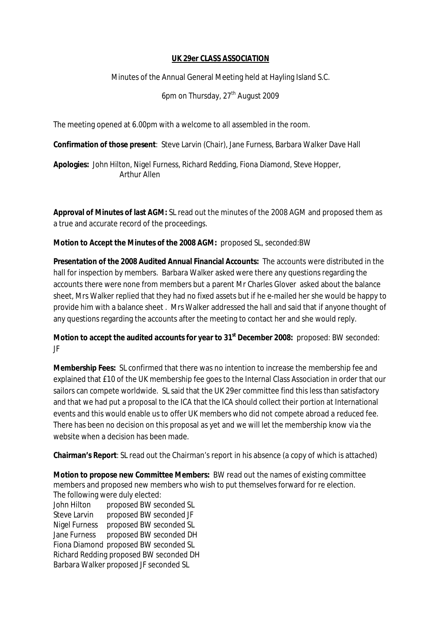## **UK 29er CLASS ASSOCIATION**

Minutes of the Annual General Meeting held at Hayling Island S.C.

6pm on Thursday, 27<sup>th</sup> August 2009

The meeting opened at 6.00pm with a welcome to all assembled in the room.

**Confirmation of those present**: Steve Larvin (Chair), Jane Furness, Barbara Walker Dave Hall

**Apologies:** John Hilton, Nigel Furness, Richard Redding, Fiona Diamond, Steve Hopper, Arthur Allen

**Approval of Minutes of last AGM:** SL read out the minutes of the 2008 AGM and proposed them as a true and accurate record of the proceedings.

**Motion to Accept the Minutes of the 2008 AGM:** proposed SL, seconded:BW

**Presentation of the 2008 Audited Annual Financial Accounts:** The accounts were distributed in the hall for inspection by members. Barbara Walker asked were there any questions regarding the accounts there were none from members but a parent Mr Charles Glover asked about the balance sheet, Mrs Walker replied that they had no fixed assets but if he e-mailed her she would be happy to provide him with a balance sheet . Mrs Walker addressed the hall and said that if anyone thought of any questions regarding the accounts after the meeting to contact her and she would reply.

**Motion to accept the audited accounts for year to 31st December 2008:** proposed: BW seconded: JF

**Membership Fees:** SL confirmed that there was no intention to increase the membership fee and explained that £10 of the UK membership fee goes to the Internal Class Association in order that our sailors can compete worldwide. SL said that the UK 29er committee find this less than satisfactory and that we had put a proposal to the ICA that the ICA should collect their portion at International events and this would enable us to offer UK members who did not compete abroad a reduced fee. There has been no decision on this proposal as yet and we will let the membership know via the website when a decision has been made.

**Chairman's Report**: SL read out the Chairman's report in his absence (a copy of which is attached)

**Motion to propose new Committee Members:** BW read out the names of existing committee members and proposed new members who wish to put themselves forward for re election. The following were duly elected:

John Hilton proposed BW seconded SL Steve Larvin proposed BW seconded JF Nigel Furness proposed BW seconded SL Jane Furness proposed BW seconded DH Fiona Diamond proposed BW seconded SL Richard Redding proposed BW seconded DH Barbara Walker proposed JF seconded SL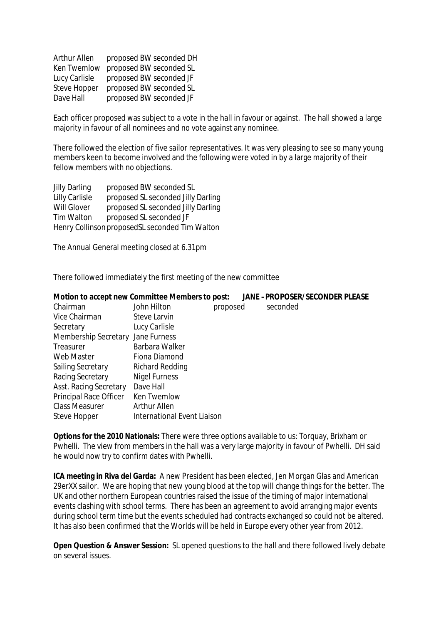| <b>Arthur Allen</b> | proposed BW seconded DH |
|---------------------|-------------------------|
| <b>Ken Twemlow</b>  | proposed BW seconded SL |
| Lucy Carlisle       | proposed BW seconded JF |
| <b>Steve Hopper</b> | proposed BW seconded SL |
| Dave Hall           | proposed BW seconded JF |

Each officer proposed was subject to a vote in the hall in favour or against. The hall showed a large majority in favour of all nominees and no vote against any nominee.

There followed the election of five sailor representatives. It was very pleasing to see so many young members keen to become involved and the following were voted in by a large majority of their fellow members with no objections.

| <b>Jilly Darling</b>                           | proposed BW seconded SL            |  |  |
|------------------------------------------------|------------------------------------|--|--|
| <b>Lilly Carlisle</b>                          | proposed SL seconded Jilly Darling |  |  |
| <b>Will Glover</b>                             | proposed SL seconded Jilly Darling |  |  |
| <b>Tim Walton</b>                              | proposed SL seconded JF            |  |  |
| Henry Collinson proposedSL seconded Tim Walton |                                    |  |  |

The Annual General meeting closed at 6.31pm

There followed immediately the first meeting of the new committee

|                                   |          | JANE -PROPOSER/SECONDER PLEASE                                                        |
|-----------------------------------|----------|---------------------------------------------------------------------------------------|
| John Hilton                       | proposed | seconded                                                                              |
| Steve Larvin                      |          |                                                                                       |
| Lucy Carlisle                     |          |                                                                                       |
| Membership Secretary Jane Furness |          |                                                                                       |
| <b>Barbara Walker</b>             |          |                                                                                       |
| <b>Fiona Diamond</b>              |          |                                                                                       |
| <b>Richard Redding</b>            |          |                                                                                       |
| <b>Nigel Furness</b>              |          |                                                                                       |
| Dave Hall                         |          |                                                                                       |
| <b>Ken Twemlow</b>                |          |                                                                                       |
| <b>Arthur Allen</b>               |          |                                                                                       |
|                                   |          |                                                                                       |
|                                   |          | Motion to accept new Committee Members to post:<br><b>International Event Liaison</b> |

**Options for the 2010 Nationals:** There were three options available to us: Torquay, Brixham or Pwhelli. The view from members in the hall was a very large majority in favour of Pwhelli. DH said he would now try to confirm dates with Pwhelli.

**ICA meeting in Riva del Garda:** A new President has been elected, Jen Morgan Glas and American 29erXX sailor. We are hoping that new young blood at the top will change things for the better. The UK and other northern European countries raised the issue of the timing of major international events clashing with school terms. There has been an agreement to avoid arranging major events during school term time but the events scheduled had contracts exchanged so could not be altered. It has also been confirmed that the Worlds will be held in Europe every other year from 2012.

**Open Question & Answer Session:** SL opened questions to the hall and there followed lively debate on several issues.